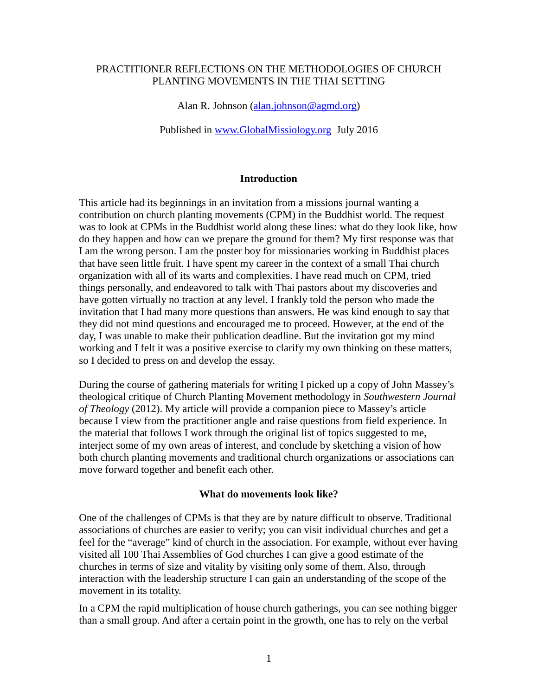### PRACTITIONER REFLECTIONS ON THE METHODOLOGIES OF CHURCH PLANTING MOVEMENTS IN THE THAI SETTING

Alan R. Johnson [\(alan.johnson@agmd.org\)](mailto:alan.johnson@agmd.org)

Published in [www.GlobalMissiology.org](http://www.globalmissiology.org/) July 2016

#### **Introduction**

This article had its beginnings in an invitation from a missions journal wanting a contribution on church planting movements (CPM) in the Buddhist world. The request was to look at CPMs in the Buddhist world along these lines: what do they look like, how do they happen and how can we prepare the ground for them? My first response was that I am the wrong person. I am the poster boy for missionaries working in Buddhist places that have seen little fruit. I have spent my career in the context of a small Thai church organization with all of its warts and complexities. I have read much on CPM, tried things personally, and endeavored to talk with Thai pastors about my discoveries and have gotten virtually no traction at any level. I frankly told the person who made the invitation that I had many more questions than answers. He was kind enough to say that they did not mind questions and encouraged me to proceed. However, at the end of the day, I was unable to make their publication deadline. But the invitation got my mind working and I felt it was a positive exercise to clarify my own thinking on these matters, so I decided to press on and develop the essay.

During the course of gathering materials for writing I picked up a copy of John Massey's theological critique of Church Planting Movement methodology in *Southwestern Journal of Theology* (2012). My article will provide a companion piece to Massey's article because I view from the practitioner angle and raise questions from field experience. In the material that follows I work through the original list of topics suggested to me, interject some of my own areas of interest, and conclude by sketching a vision of how both church planting movements and traditional church organizations or associations can move forward together and benefit each other.

#### **What do movements look like?**

One of the challenges of CPMs is that they are by nature difficult to observe. Traditional associations of churches are easier to verify; you can visit individual churches and get a feel for the "average" kind of church in the association. For example, without ever having visited all 100 Thai Assemblies of God churches I can give a good estimate of the churches in terms of size and vitality by visiting only some of them. Also, through interaction with the leadership structure I can gain an understanding of the scope of the movement in its totality.

In a CPM the rapid multiplication of house church gatherings, you can see nothing bigger than a small group. And after a certain point in the growth, one has to rely on the verbal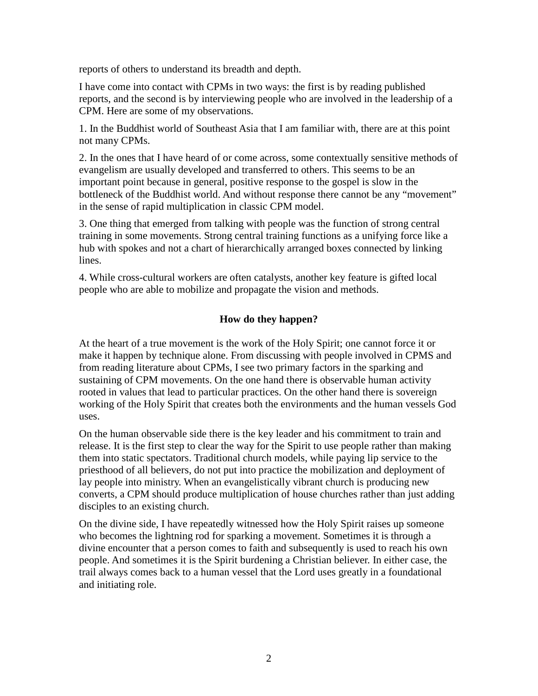reports of others to understand its breadth and depth.

I have come into contact with CPMs in two ways: the first is by reading published reports, and the second is by interviewing people who are involved in the leadership of a CPM. Here are some of my observations.

1. In the Buddhist world of Southeast Asia that I am familiar with, there are at this point not many CPMs.

2. In the ones that I have heard of or come across, some contextually sensitive methods of evangelism are usually developed and transferred to others. This seems to be an important point because in general, positive response to the gospel is slow in the bottleneck of the Buddhist world. And without response there cannot be any "movement" in the sense of rapid multiplication in classic CPM model.

3. One thing that emerged from talking with people was the function of strong central training in some movements. Strong central training functions as a unifying force like a hub with spokes and not a chart of hierarchically arranged boxes connected by linking lines.

4. While cross-cultural workers are often catalysts, another key feature is gifted local people who are able to mobilize and propagate the vision and methods.

# **How do they happen?**

At the heart of a true movement is the work of the Holy Spirit; one cannot force it or make it happen by technique alone. From discussing with people involved in CPMS and from reading literature about CPMs, I see two primary factors in the sparking and sustaining of CPM movements. On the one hand there is observable human activity rooted in values that lead to particular practices. On the other hand there is sovereign working of the Holy Spirit that creates both the environments and the human vessels God uses.

On the human observable side there is the key leader and his commitment to train and release. It is the first step to clear the way for the Spirit to use people rather than making them into static spectators. Traditional church models, while paying lip service to the priesthood of all believers, do not put into practice the mobilization and deployment of lay people into ministry. When an evangelistically vibrant church is producing new converts, a CPM should produce multiplication of house churches rather than just adding disciples to an existing church.

On the divine side, I have repeatedly witnessed how the Holy Spirit raises up someone who becomes the lightning rod for sparking a movement. Sometimes it is through a divine encounter that a person comes to faith and subsequently is used to reach his own people. And sometimes it is the Spirit burdening a Christian believer. In either case, the trail always comes back to a human vessel that the Lord uses greatly in a foundational and initiating role.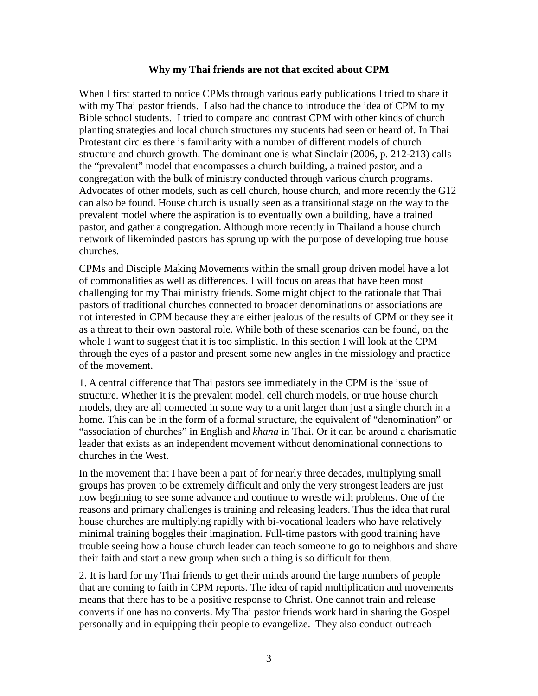#### **Why my Thai friends are not that excited about CPM**

When I first started to notice CPMs through various early publications I tried to share it with my Thai pastor friends. I also had the chance to introduce the idea of CPM to my Bible school students. I tried to compare and contrast CPM with other kinds of church planting strategies and local church structures my students had seen or heard of. In Thai Protestant circles there is familiarity with a number of different models of church structure and church growth. The dominant one is what Sinclair (2006, p. 212-213) calls the "prevalent" model that encompasses a church building, a trained pastor, and a congregation with the bulk of ministry conducted through various church programs. Advocates of other models, such as cell church, house church, and more recently the G12 can also be found. House church is usually seen as a transitional stage on the way to the prevalent model where the aspiration is to eventually own a building, have a trained pastor, and gather a congregation. Although more recently in Thailand a house church network of likeminded pastors has sprung up with the purpose of developing true house churches.

CPMs and Disciple Making Movements within the small group driven model have a lot of commonalities as well as differences. I will focus on areas that have been most challenging for my Thai ministry friends. Some might object to the rationale that Thai pastors of traditional churches connected to broader denominations or associations are not interested in CPM because they are either jealous of the results of CPM or they see it as a threat to their own pastoral role. While both of these scenarios can be found, on the whole I want to suggest that it is too simplistic. In this section I will look at the CPM through the eyes of a pastor and present some new angles in the missiology and practice of the movement.

1. A central difference that Thai pastors see immediately in the CPM is the issue of structure. Whether it is the prevalent model, cell church models, or true house church models, they are all connected in some way to a unit larger than just a single church in a home. This can be in the form of a formal structure, the equivalent of "denomination" or "association of churches" in English and *khana* in Thai. Or it can be around a charismatic leader that exists as an independent movement without denominational connections to churches in the West.

In the movement that I have been a part of for nearly three decades, multiplying small groups has proven to be extremely difficult and only the very strongest leaders are just now beginning to see some advance and continue to wrestle with problems. One of the reasons and primary challenges is training and releasing leaders. Thus the idea that rural house churches are multiplying rapidly with bi-vocational leaders who have relatively minimal training boggles their imagination. Full-time pastors with good training have trouble seeing how a house church leader can teach someone to go to neighbors and share their faith and start a new group when such a thing is so difficult for them.

2. It is hard for my Thai friends to get their minds around the large numbers of people that are coming to faith in CPM reports. The idea of rapid multiplication and movements means that there has to be a positive response to Christ. One cannot train and release converts if one has no converts. My Thai pastor friends work hard in sharing the Gospel personally and in equipping their people to evangelize. They also conduct outreach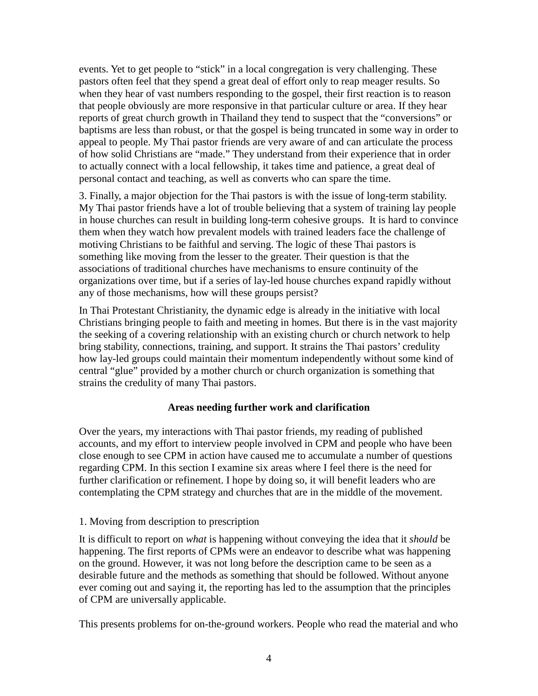events. Yet to get people to "stick" in a local congregation is very challenging. These pastors often feel that they spend a great deal of effort only to reap meager results. So when they hear of vast numbers responding to the gospel, their first reaction is to reason that people obviously are more responsive in that particular culture or area. If they hear reports of great church growth in Thailand they tend to suspect that the "conversions" or baptisms are less than robust, or that the gospel is being truncated in some way in order to appeal to people. My Thai pastor friends are very aware of and can articulate the process of how solid Christians are "made." They understand from their experience that in order to actually connect with a local fellowship, it takes time and patience, a great deal of personal contact and teaching, as well as converts who can spare the time.

3. Finally, a major objection for the Thai pastors is with the issue of long-term stability. My Thai pastor friends have a lot of trouble believing that a system of training lay people in house churches can result in building long-term cohesive groups. It is hard to convince them when they watch how prevalent models with trained leaders face the challenge of motiving Christians to be faithful and serving. The logic of these Thai pastors is something like moving from the lesser to the greater. Their question is that the associations of traditional churches have mechanisms to ensure continuity of the organizations over time, but if a series of lay-led house churches expand rapidly without any of those mechanisms, how will these groups persist?

In Thai Protestant Christianity, the dynamic edge is already in the initiative with local Christians bringing people to faith and meeting in homes. But there is in the vast majority the seeking of a covering relationship with an existing church or church network to help bring stability, connections, training, and support. It strains the Thai pastors' credulity how lay-led groups could maintain their momentum independently without some kind of central "glue" provided by a mother church or church organization is something that strains the credulity of many Thai pastors.

## **Areas needing further work and clarification**

Over the years, my interactions with Thai pastor friends, my reading of published accounts, and my effort to interview people involved in CPM and people who have been close enough to see CPM in action have caused me to accumulate a number of questions regarding CPM. In this section I examine six areas where I feel there is the need for further clarification or refinement. I hope by doing so, it will benefit leaders who are contemplating the CPM strategy and churches that are in the middle of the movement.

## 1. Moving from description to prescription

It is difficult to report on *what* is happening without conveying the idea that it *should* be happening. The first reports of CPMs were an endeavor to describe what was happening on the ground. However, it was not long before the description came to be seen as a desirable future and the methods as something that should be followed. Without anyone ever coming out and saying it, the reporting has led to the assumption that the principles of CPM are universally applicable.

This presents problems for on-the-ground workers. People who read the material and who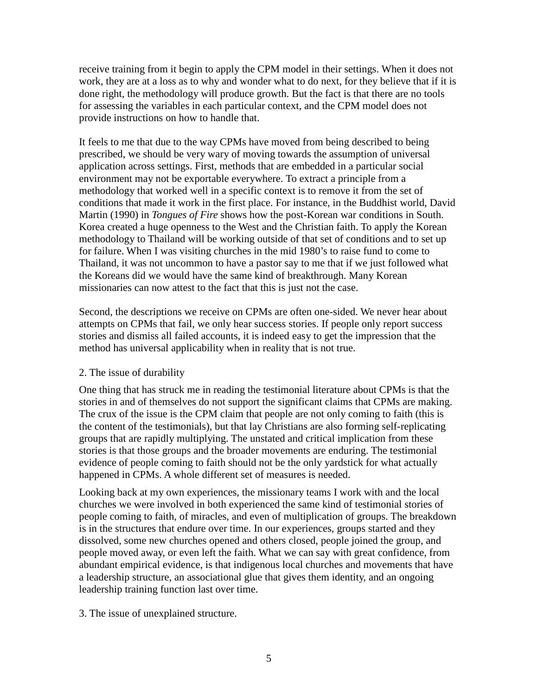receive training from it begin to apply the CPM model in their settings. When it does not work, they are at a loss as to why and wonder what to do next, for they believe that if it is done right, the methodology will produce growth. But the fact is that there are no tools for assessing the variables in each particular context, and the CPM model does not provide instructions on how to handle that.

It feels to me that due to the way CPMs have moved from being described to being prescribed, we should be very wary of moving towards the assumption of universal application across settings. First, methods that are embedded in a particular social environment may not be exportable everywhere. To extract a principle from a methodology that worked well in a specific context is to remove it from the set of conditions that made it work in the first place. For instance, in the Buddhist world, David Martin (1990) in *Tongues of Fire* shows how the post-Korean war conditions in South. Korea created a huge openness to the West and the Christian faith. To apply the Korean methodology to Thailand will be working outside of that set of conditions and to set up for failure. When I was visiting churches in the mid 1980's to raise fund to come to Thailand, it was not uncommon to have a pastor say to me that if we just followed what the Koreans did we would have the same kind of breakthrough. Many Korean missionaries can now attest to the fact that this is just not the case.

Second, the descriptions we receive on CPMs are often one-sided. We never hear about attempts on CPMs that fail, we only hear success stories. If people only report success stories and dismiss all failed accounts, it is indeed easy to get the impression that the method has universal applicability when in reality that is not true.

## 2. The issue of durability

One thing that has struck me in reading the testimonial literature about CPMs is that the stories in and of themselves do not support the significant claims that CPMs are making. The crux of the issue is the CPM claim that people are not only coming to faith (this is the content of the testimonials), but that lay Christians are also forming self-replicating groups that are rapidly multiplying. The unstated and critical implication from these stories is that those groups and the broader movements are enduring. The testimonial evidence of people coming to faith should not be the only yardstick for what actually happened in CPMs. A whole different set of measures is needed.

Looking back at my own experiences, the missionary teams I work with and the local churches we were involved in both experienced the same kind of testimonial stories of people coming to faith, of miracles, and even of multiplication of groups. The breakdown is in the structures that endure over time. In our experiences, groups started and they dissolved, some new churches opened and others closed, people joined the group, and people moved away, or even left the faith. What we can say with great confidence, from abundant empirical evidence, is that indigenous local churches and movements that have a leadership structure, an associational glue that gives them identity, and an ongoing leadership training function last over time.

3. The issue of unexplained structure.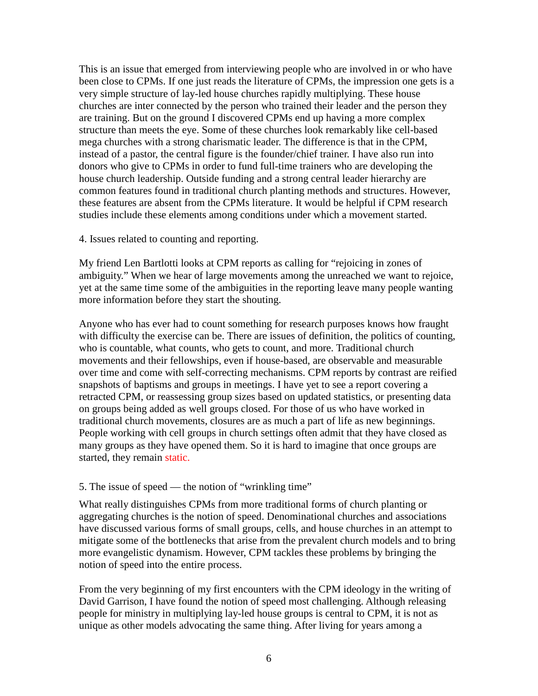This is an issue that emerged from interviewing people who are involved in or who have been close to CPMs. If one just reads the literature of CPMs, the impression one gets is a very simple structure of lay-led house churches rapidly multiplying. These house churches are inter connected by the person who trained their leader and the person they are training. But on the ground I discovered CPMs end up having a more complex structure than meets the eye. Some of these churches look remarkably like cell-based mega churches with a strong charismatic leader. The difference is that in the CPM, instead of a pastor, the central figure is the founder/chief trainer. I have also run into donors who give to CPMs in order to fund full-time trainers who are developing the house church leadership. Outside funding and a strong central leader hierarchy are common features found in traditional church planting methods and structures. However, these features are absent from the CPMs literature. It would be helpful if CPM research studies include these elements among conditions under which a movement started.

4. Issues related to counting and reporting.

My friend Len Bartlotti looks at CPM reports as calling for "rejoicing in zones of ambiguity." When we hear of large movements among the unreached we want to rejoice, yet at the same time some of the ambiguities in the reporting leave many people wanting more information before they start the shouting.

Anyone who has ever had to count something for research purposes knows how fraught with difficulty the exercise can be. There are issues of definition, the politics of counting, who is countable, what counts, who gets to count, and more. Traditional church movements and their fellowships, even if house-based, are observable and measurable over time and come with self-correcting mechanisms. CPM reports by contrast are reified snapshots of baptisms and groups in meetings. I have yet to see a report covering a retracted CPM, or reassessing group sizes based on updated statistics, or presenting data on groups being added as well groups closed. For those of us who have worked in traditional church movements, closures are as much a part of life as new beginnings. People working with cell groups in church settings often admit that they have closed as many groups as they have opened them. So it is hard to imagine that once groups are started, they remain static.

#### 5. The issue of speed — the notion of "wrinkling time"

What really distinguishes CPMs from more traditional forms of church planting or aggregating churches is the notion of speed. Denominational churches and associations have discussed various forms of small groups, cells, and house churches in an attempt to mitigate some of the bottlenecks that arise from the prevalent church models and to bring more evangelistic dynamism. However, CPM tackles these problems by bringing the notion of speed into the entire process.

From the very beginning of my first encounters with the CPM ideology in the writing of David Garrison, I have found the notion of speed most challenging. Although releasing people for ministry in multiplying lay-led house groups is central to CPM, it is not as unique as other models advocating the same thing. After living for years among a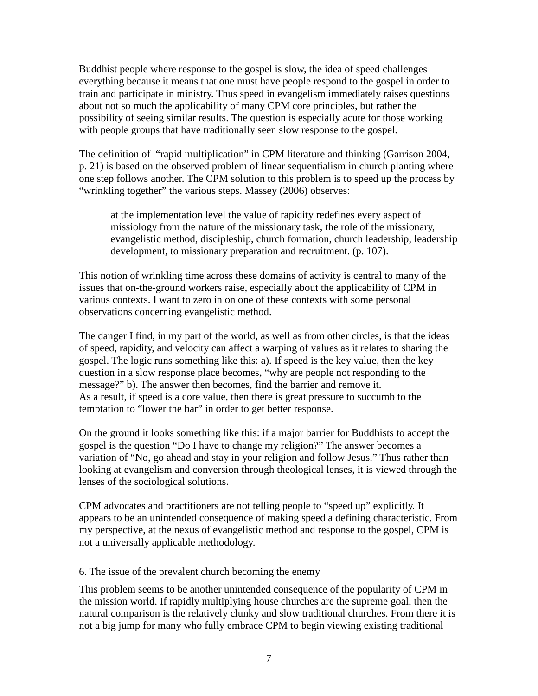Buddhist people where response to the gospel is slow, the idea of speed challenges everything because it means that one must have people respond to the gospel in order to train and participate in ministry. Thus speed in evangelism immediately raises questions about not so much the applicability of many CPM core principles, but rather the possibility of seeing similar results. The question is especially acute for those working with people groups that have traditionally seen slow response to the gospel.

The definition of "rapid multiplication" in CPM literature and thinking (Garrison 2004, p. 21) is based on the observed problem of linear sequentialism in church planting where one step follows another. The CPM solution to this problem is to speed up the process by "wrinkling together" the various steps. Massey (2006) observes:

at the implementation level the value of rapidity redefines every aspect of missiology from the nature of the missionary task, the role of the missionary, evangelistic method, discipleship, church formation, church leadership, leadership development, to missionary preparation and recruitment. (p. 107).

This notion of wrinkling time across these domains of activity is central to many of the issues that on-the-ground workers raise, especially about the applicability of CPM in various contexts. I want to zero in on one of these contexts with some personal observations concerning evangelistic method.

The danger I find, in my part of the world, as well as from other circles, is that the ideas of speed, rapidity, and velocity can affect a warping of values as it relates to sharing the gospel. The logic runs something like this: a). If speed is the key value, then the key question in a slow response place becomes, "why are people not responding to the message?" b). The answer then becomes, find the barrier and remove it. As a result, if speed is a core value, then there is great pressure to succumb to the temptation to "lower the bar" in order to get better response.

On the ground it looks something like this: if a major barrier for Buddhists to accept the gospel is the question "Do I have to change my religion?" The answer becomes a variation of "No, go ahead and stay in your religion and follow Jesus." Thus rather than looking at evangelism and conversion through theological lenses, it is viewed through the lenses of the sociological solutions.

CPM advocates and practitioners are not telling people to "speed up" explicitly. It appears to be an unintended consequence of making speed a defining characteristic. From my perspective, at the nexus of evangelistic method and response to the gospel, CPM is not a universally applicable methodology.

6. The issue of the prevalent church becoming the enemy

This problem seems to be another unintended consequence of the popularity of CPM in the mission world. If rapidly multiplying house churches are the supreme goal, then the natural comparison is the relatively clunky and slow traditional churches. From there it is not a big jump for many who fully embrace CPM to begin viewing existing traditional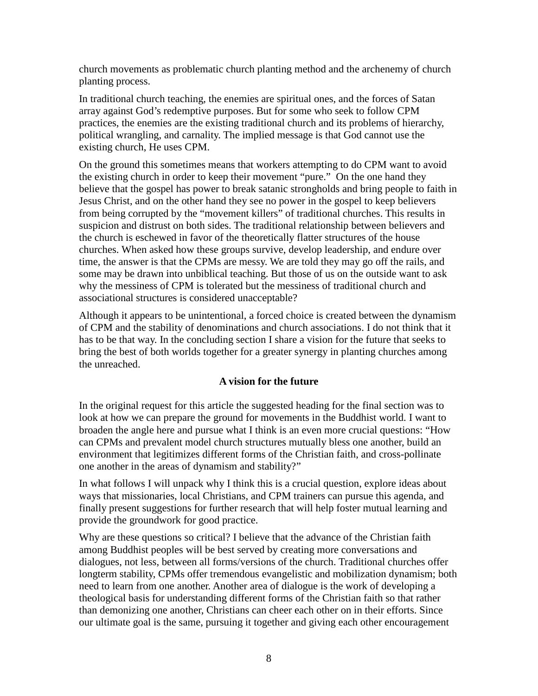church movements as problematic church planting method and the archenemy of church planting process.

In traditional church teaching, the enemies are spiritual ones, and the forces of Satan array against God's redemptive purposes. But for some who seek to follow CPM practices, the enemies are the existing traditional church and its problems of hierarchy, political wrangling, and carnality. The implied message is that God cannot use the existing church, He uses CPM.

On the ground this sometimes means that workers attempting to do CPM want to avoid the existing church in order to keep their movement "pure." On the one hand they believe that the gospel has power to break satanic strongholds and bring people to faith in Jesus Christ, and on the other hand they see no power in the gospel to keep believers from being corrupted by the "movement killers" of traditional churches. This results in suspicion and distrust on both sides. The traditional relationship between believers and the church is eschewed in favor of the theoretically flatter structures of the house churches. When asked how these groups survive, develop leadership, and endure over time, the answer is that the CPMs are messy. We are told they may go off the rails, and some may be drawn into unbiblical teaching. But those of us on the outside want to ask why the messiness of CPM is tolerated but the messiness of traditional church and associational structures is considered unacceptable?

Although it appears to be unintentional, a forced choice is created between the dynamism of CPM and the stability of denominations and church associations. I do not think that it has to be that way. In the concluding section I share a vision for the future that seeks to bring the best of both worlds together for a greater synergy in planting churches among the unreached.

## **A vision for the future**

In the original request for this article the suggested heading for the final section was to look at how we can prepare the ground for movements in the Buddhist world. I want to broaden the angle here and pursue what I think is an even more crucial questions: "How can CPMs and prevalent model church structures mutually bless one another, build an environment that legitimizes different forms of the Christian faith, and cross-pollinate one another in the areas of dynamism and stability?"

In what follows I will unpack why I think this is a crucial question, explore ideas about ways that missionaries, local Christians, and CPM trainers can pursue this agenda, and finally present suggestions for further research that will help foster mutual learning and provide the groundwork for good practice.

Why are these questions so critical? I believe that the advance of the Christian faith among Buddhist peoples will be best served by creating more conversations and dialogues, not less, between all forms/versions of the church. Traditional churches offer longterm stability, CPMs offer tremendous evangelistic and mobilization dynamism; both need to learn from one another. Another area of dialogue is the work of developing a theological basis for understanding different forms of the Christian faith so that rather than demonizing one another, Christians can cheer each other on in their efforts. Since our ultimate goal is the same, pursuing it together and giving each other encouragement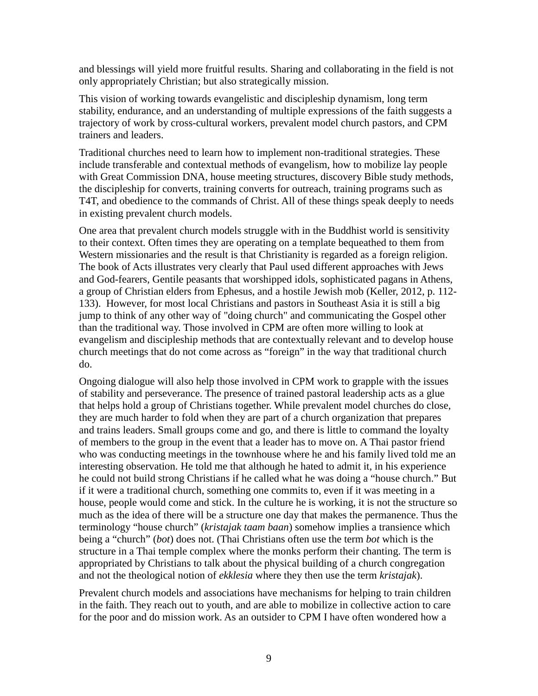and blessings will yield more fruitful results. Sharing and collaborating in the field is not only appropriately Christian; but also strategically mission.

This vision of working towards evangelistic and discipleship dynamism, long term stability, endurance, and an understanding of multiple expressions of the faith suggests a trajectory of work by cross-cultural workers, prevalent model church pastors, and CPM trainers and leaders.

Traditional churches need to learn how to implement non-traditional strategies. These include transferable and contextual methods of evangelism, how to mobilize lay people with Great Commission DNA, house meeting structures, discovery Bible study methods, the discipleship for converts, training converts for outreach, training programs such as T4T, and obedience to the commands of Christ. All of these things speak deeply to needs in existing prevalent church models.

One area that prevalent church models struggle with in the Buddhist world is sensitivity to their context. Often times they are operating on a template bequeathed to them from Western missionaries and the result is that Christianity is regarded as a foreign religion. The book of Acts illustrates very clearly that Paul used different approaches with Jews and God-fearers, Gentile peasants that worshipped idols, sophisticated pagans in Athens, a group of Christian elders from Ephesus, and a hostile Jewish mob (Keller, 2012, p. 112- 133). However, for most local Christians and pastors in Southeast Asia it is still a big jump to think of any other way of "doing church" and communicating the Gospel other than the traditional way. Those involved in CPM are often more willing to look at evangelism and discipleship methods that are contextually relevant and to develop house church meetings that do not come across as "foreign" in the way that traditional church do.

Ongoing dialogue will also help those involved in CPM work to grapple with the issues of stability and perseverance. The presence of trained pastoral leadership acts as a glue that helps hold a group of Christians together. While prevalent model churches do close, they are much harder to fold when they are part of a church organization that prepares and trains leaders. Small groups come and go, and there is little to command the loyalty of members to the group in the event that a leader has to move on. A Thai pastor friend who was conducting meetings in the townhouse where he and his family lived told me an interesting observation. He told me that although he hated to admit it, in his experience he could not build strong Christians if he called what he was doing a "house church." But if it were a traditional church, something one commits to, even if it was meeting in a house, people would come and stick. In the culture he is working, it is not the structure so much as the idea of there will be a structure one day that makes the permanence. Thus the terminology "house church" (*kristajak taam baan*) somehow implies a transience which being a "church" (*bot*) does not. (Thai Christians often use the term *bot* which is the structure in a Thai temple complex where the monks perform their chanting. The term is appropriated by Christians to talk about the physical building of a church congregation and not the theological notion of *ekklesia* where they then use the term *kristajak*).

Prevalent church models and associations have mechanisms for helping to train children in the faith. They reach out to youth, and are able to mobilize in collective action to care for the poor and do mission work. As an outsider to CPM I have often wondered how a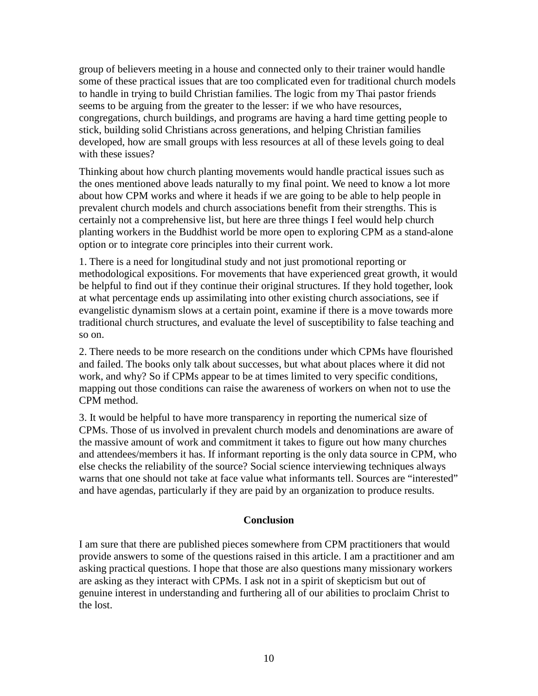group of believers meeting in a house and connected only to their trainer would handle some of these practical issues that are too complicated even for traditional church models to handle in trying to build Christian families. The logic from my Thai pastor friends seems to be arguing from the greater to the lesser: if we who have resources, congregations, church buildings, and programs are having a hard time getting people to stick, building solid Christians across generations, and helping Christian families developed, how are small groups with less resources at all of these levels going to deal with these issues?

Thinking about how church planting movements would handle practical issues such as the ones mentioned above leads naturally to my final point. We need to know a lot more about how CPM works and where it heads if we are going to be able to help people in prevalent church models and church associations benefit from their strengths. This is certainly not a comprehensive list, but here are three things I feel would help church planting workers in the Buddhist world be more open to exploring CPM as a stand-alone option or to integrate core principles into their current work.

1. There is a need for longitudinal study and not just promotional reporting or methodological expositions. For movements that have experienced great growth, it would be helpful to find out if they continue their original structures. If they hold together, look at what percentage ends up assimilating into other existing church associations, see if evangelistic dynamism slows at a certain point, examine if there is a move towards more traditional church structures, and evaluate the level of susceptibility to false teaching and so on.

2. There needs to be more research on the conditions under which CPMs have flourished and failed. The books only talk about successes, but what about places where it did not work, and why? So if CPMs appear to be at times limited to very specific conditions, mapping out those conditions can raise the awareness of workers on when not to use the CPM method.

3. It would be helpful to have more transparency in reporting the numerical size of CPMs. Those of us involved in prevalent church models and denominations are aware of the massive amount of work and commitment it takes to figure out how many churches and attendees/members it has. If informant reporting is the only data source in CPM, who else checks the reliability of the source? Social science interviewing techniques always warns that one should not take at face value what informants tell. Sources are "interested" and have agendas, particularly if they are paid by an organization to produce results.

#### **Conclusion**

I am sure that there are published pieces somewhere from CPM practitioners that would provide answers to some of the questions raised in this article. I am a practitioner and am asking practical questions. I hope that those are also questions many missionary workers are asking as they interact with CPMs. I ask not in a spirit of skepticism but out of genuine interest in understanding and furthering all of our abilities to proclaim Christ to the lost.